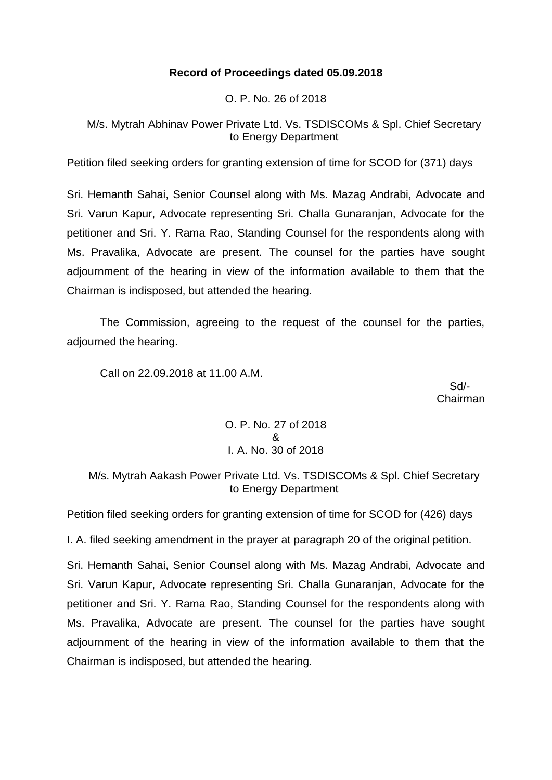# **Record of Proceedings dated 05.09.2018**

O. P. No. 26 of 2018

M/s. Mytrah Abhinav Power Private Ltd. Vs. TSDISCOMs & Spl. Chief Secretary to Energy Department

Petition filed seeking orders for granting extension of time for SCOD for (371) days

Sri. Hemanth Sahai, Senior Counsel along with Ms. Mazag Andrabi, Advocate and Sri. Varun Kapur, Advocate representing Sri. Challa Gunaranjan, Advocate for the petitioner and Sri. Y. Rama Rao, Standing Counsel for the respondents along with Ms. Pravalika, Advocate are present. The counsel for the parties have sought adjournment of the hearing in view of the information available to them that the Chairman is indisposed, but attended the hearing.

The Commission, agreeing to the request of the counsel for the parties, adjourned the hearing.

Call on 22.09.2018 at 11.00 A.M.

 Sd/- Chairman

> O. P. No. 27 of 2018 & I. A. No. 30 of 2018

M/s. Mytrah Aakash Power Private Ltd. Vs. TSDISCOMs & Spl. Chief Secretary to Energy Department

Petition filed seeking orders for granting extension of time for SCOD for (426) days

I. A. filed seeking amendment in the prayer at paragraph 20 of the original petition.

Sri. Hemanth Sahai, Senior Counsel along with Ms. Mazag Andrabi, Advocate and Sri. Varun Kapur, Advocate representing Sri. Challa Gunaranjan, Advocate for the petitioner and Sri. Y. Rama Rao, Standing Counsel for the respondents along with Ms. Pravalika, Advocate are present. The counsel for the parties have sought adjournment of the hearing in view of the information available to them that the Chairman is indisposed, but attended the hearing.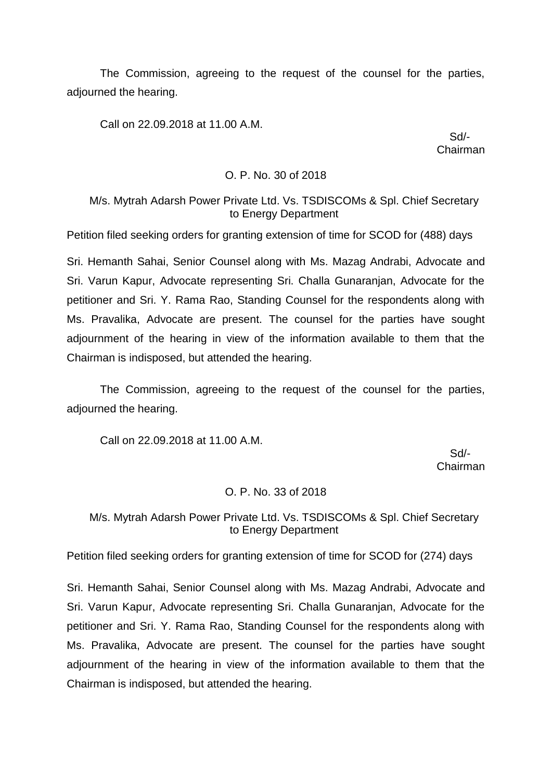The Commission, agreeing to the request of the counsel for the parties, adjourned the hearing.

Call on 22.09.2018 at 11.00 A.M.

 Sd/- Chairman

## O. P. No. 30 of 2018

## M/s. Mytrah Adarsh Power Private Ltd. Vs. TSDISCOMs & Spl. Chief Secretary to Energy Department

Petition filed seeking orders for granting extension of time for SCOD for (488) days

Sri. Hemanth Sahai, Senior Counsel along with Ms. Mazag Andrabi, Advocate and Sri. Varun Kapur, Advocate representing Sri. Challa Gunaranjan, Advocate for the petitioner and Sri. Y. Rama Rao, Standing Counsel for the respondents along with Ms. Pravalika, Advocate are present. The counsel for the parties have sought adjournment of the hearing in view of the information available to them that the Chairman is indisposed, but attended the hearing.

The Commission, agreeing to the request of the counsel for the parties, adjourned the hearing.

Call on 22.09.2018 at 11.00 A.M.

 Sd/- Chairman

#### O. P. No. 33 of 2018

M/s. Mytrah Adarsh Power Private Ltd. Vs. TSDISCOMs & Spl. Chief Secretary to Energy Department

Petition filed seeking orders for granting extension of time for SCOD for (274) days

Sri. Hemanth Sahai, Senior Counsel along with Ms. Mazag Andrabi, Advocate and Sri. Varun Kapur, Advocate representing Sri. Challa Gunaranjan, Advocate for the petitioner and Sri. Y. Rama Rao, Standing Counsel for the respondents along with Ms. Pravalika, Advocate are present. The counsel for the parties have sought adjournment of the hearing in view of the information available to them that the Chairman is indisposed, but attended the hearing.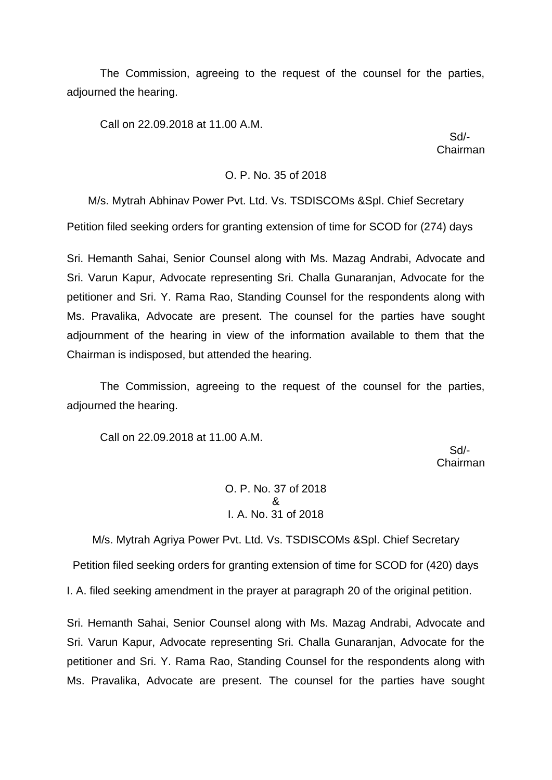The Commission, agreeing to the request of the counsel for the parties, adjourned the hearing.

Call on 22.09.2018 at 11.00 A.M.

 Sd/- Chairman

#### O. P. No. 35 of 2018

M/s. Mytrah Abhinav Power Pvt. Ltd. Vs. TSDISCOMs &Spl. Chief Secretary Petition filed seeking orders for granting extension of time for SCOD for (274) days

Sri. Hemanth Sahai, Senior Counsel along with Ms. Mazag Andrabi, Advocate and Sri. Varun Kapur, Advocate representing Sri. Challa Gunaranjan, Advocate for the petitioner and Sri. Y. Rama Rao, Standing Counsel for the respondents along with Ms. Pravalika, Advocate are present. The counsel for the parties have sought adjournment of the hearing in view of the information available to them that the Chairman is indisposed, but attended the hearing.

The Commission, agreeing to the request of the counsel for the parties, adjourned the hearing.

Call on 22.09.2018 at 11.00 A.M.

 Sd/- Chairman

> O. P. No. 37 of 2018 & I. A. No. 31 of 2018

M/s. Mytrah Agriya Power Pvt. Ltd. Vs. TSDISCOMs &Spl. Chief Secretary Petition filed seeking orders for granting extension of time for SCOD for (420) days

I. A. filed seeking amendment in the prayer at paragraph 20 of the original petition.

Sri. Hemanth Sahai, Senior Counsel along with Ms. Mazag Andrabi, Advocate and Sri. Varun Kapur, Advocate representing Sri. Challa Gunaranjan, Advocate for the petitioner and Sri. Y. Rama Rao, Standing Counsel for the respondents along with Ms. Pravalika, Advocate are present. The counsel for the parties have sought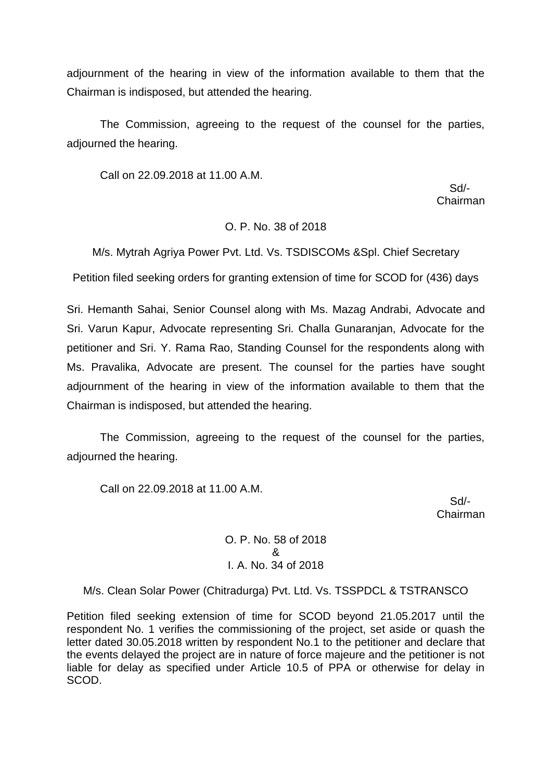adjournment of the hearing in view of the information available to them that the Chairman is indisposed, but attended the hearing.

The Commission, agreeing to the request of the counsel for the parties, adjourned the hearing.

Call on 22.09.2018 at 11.00 A.M.

 Sd/- Chairman

## O. P. No. 38 of 2018

M/s. Mytrah Agriya Power Pvt. Ltd. Vs. TSDISCOMs &Spl. Chief Secretary

Petition filed seeking orders for granting extension of time for SCOD for (436) days

Sri. Hemanth Sahai, Senior Counsel along with Ms. Mazag Andrabi, Advocate and Sri. Varun Kapur, Advocate representing Sri. Challa Gunaranjan, Advocate for the petitioner and Sri. Y. Rama Rao, Standing Counsel for the respondents along with Ms. Pravalika, Advocate are present. The counsel for the parties have sought adjournment of the hearing in view of the information available to them that the Chairman is indisposed, but attended the hearing.

The Commission, agreeing to the request of the counsel for the parties, adjourned the hearing.

Call on 22.09.2018 at 11.00 A.M.

 Sd/- Chairman

> O. P. No. 58 of 2018 & I. A. No. 34 of 2018

M/s. Clean Solar Power (Chitradurga) Pvt. Ltd. Vs. TSSPDCL & TSTRANSCO

Petition filed seeking extension of time for SCOD beyond 21.05.2017 until the respondent No. 1 verifies the commissioning of the project, set aside or quash the letter dated 30.05.2018 written by respondent No.1 to the petitioner and declare that the events delayed the project are in nature of force majeure and the petitioner is not liable for delay as specified under Article 10.5 of PPA or otherwise for delay in SCOD.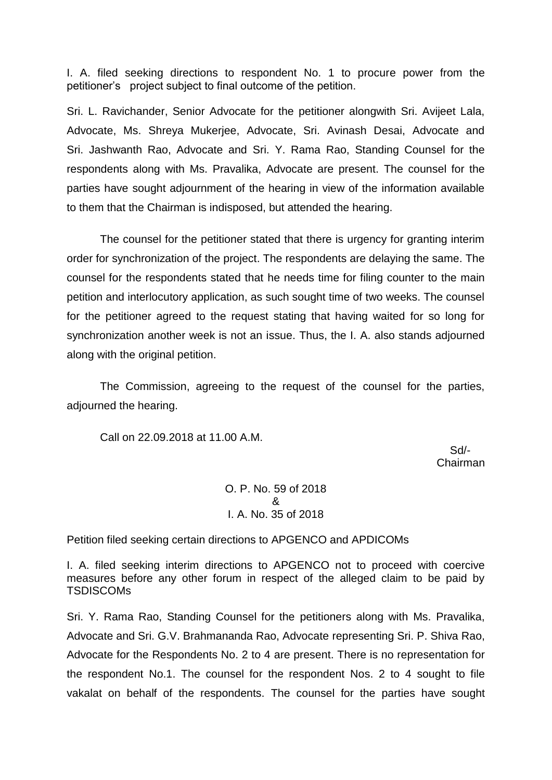I. A. filed seeking directions to respondent No. 1 to procure power from the petitioner's project subject to final outcome of the petition.

Sri. L. Ravichander, Senior Advocate for the petitioner alongwith Sri. Avijeet Lala, Advocate, Ms. Shreya Mukerjee, Advocate, Sri. Avinash Desai, Advocate and Sri. Jashwanth Rao, Advocate and Sri. Y. Rama Rao, Standing Counsel for the respondents along with Ms. Pravalika, Advocate are present. The counsel for the parties have sought adjournment of the hearing in view of the information available to them that the Chairman is indisposed, but attended the hearing.

The counsel for the petitioner stated that there is urgency for granting interim order for synchronization of the project. The respondents are delaying the same. The counsel for the respondents stated that he needs time for filing counter to the main petition and interlocutory application, as such sought time of two weeks. The counsel for the petitioner agreed to the request stating that having waited for so long for synchronization another week is not an issue. Thus, the I. A. also stands adjourned along with the original petition.

The Commission, agreeing to the request of the counsel for the parties, adjourned the hearing.

Call on 22.09.2018 at 11.00 A.M.

 Sd/- Chairman

> O. P. No. 59 of 2018 & I. A. No. 35 of 2018

Petition filed seeking certain directions to APGENCO and APDICOMs

I. A. filed seeking interim directions to APGENCO not to proceed with coercive measures before any other forum in respect of the alleged claim to be paid by **TSDISCOMs** 

Sri. Y. Rama Rao, Standing Counsel for the petitioners along with Ms. Pravalika, Advocate and Sri. G.V. Brahmananda Rao, Advocate representing Sri. P. Shiva Rao, Advocate for the Respondents No. 2 to 4 are present. There is no representation for the respondent No.1. The counsel for the respondent Nos. 2 to 4 sought to file vakalat on behalf of the respondents. The counsel for the parties have sought